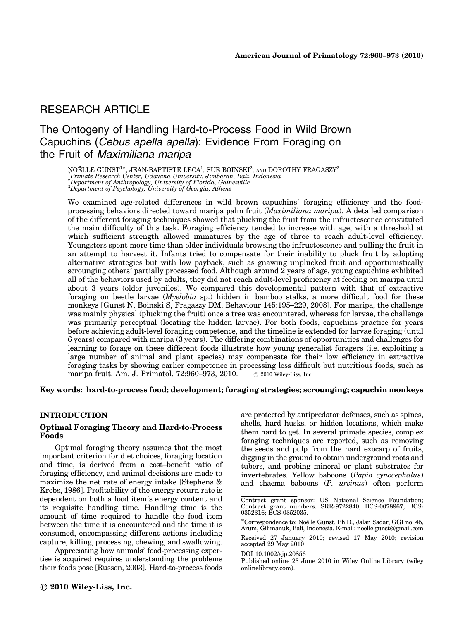# RESEARCH ARTICLE

# The Ontogeny of Handling Hard-to-Process Food in Wild Brown Capuchins (Cebus apella apella): Evidence From Foraging on the Fruit of Maximiliana maripa

NOËLLE GUNST<sup>1\*</sup>, JEAN-BAPTISTE LECA<sup>1</sup>, SUE BOINSKI<sup>2</sup>, AND DOROTHY FRAGASZY<sup>3</sup><br><sup>1</sup>Primate Research Center, Udayana University, Jimbaran, Bali, Indonesia<br><sup>2</sup>Department of Anthropology, University of Florida, Gainesville<br><sup></sup>

We examined age-related differences in wild brown capuchins' foraging efficiency and the foodprocessing behaviors directed toward maripa palm fruit (Maximiliana maripa). A detailed comparison of the different foraging techniques showed that plucking the fruit from the infructescence constituted the main difficulty of this task. Foraging efficiency tended to increase with age, with a threshold at which sufficient strength allowed immatures by the age of three to reach adult-level efficiency. Youngsters spent more time than older individuals browsing the infructescence and pulling the fruit in an attempt to harvest it. Infants tried to compensate for their inability to pluck fruit by adopting alternative strategies but with low payback, such as gnawing unplucked fruit and opportunistically scrounging others' partially processed food. Although around 2 years of age, young capuchins exhibited all of the behaviors used by adults, they did not reach adult-level proficiency at feeding on maripa until about 3 years (older juveniles). We compared this developmental pattern with that of extractive foraging on beetle larvae (Myelobia sp.) hidden in bamboo stalks, a more difficult food for these monkeys [Gunst N, Boinski S, Fragaszy DM. Behaviour 145:195–229, 2008]. For maripa, the challenge was mainly physical (plucking the fruit) once a tree was encountered, whereas for larvae, the challenge was primarily perceptual (locating the hidden larvae). For both foods, capuchins practice for years before achieving adult-level foraging competence, and the timeline is extended for larvae foraging (until 6 years) compared with maripa (3 years). The differing combinations of opportunities and challenges for learning to forage on these different foods illustrate how young generalist foragers (i.e. exploiting a large number of animal and plant species) may compensate for their low efficiency in extractive foraging tasks by showing earlier competence in processing less difficult but nutritious foods, such as maripa fruit. Am. J. Primatol.  $72:960-973$ ,  $2010$ .  $\circ$  2010 Wiley-Liss, Inc.

Key words: hard-to-process food; development; foraging strategies; scrounging; capuchin monkeys

## INTRODUCTION

### Optimal Foraging Theory and Hard-to-Process Foods

Optimal foraging theory assumes that the most important criterion for diet choices, foraging location and time, is derived from a cost–benefit ratio of foraging efficiency, and animal decisions are made to maximize the net rate of energy intake [Stephens & Krebs, 1986]. Profitability of the energy return rate is dependent on both a food item's energy content and its requisite handling time. Handling time is the amount of time required to handle the food item between the time it is encountered and the time it is consumed, encompassing different actions including capture, killing, processing, chewing, and swallowing.

Appreciating how animals' food-processing expertise is acquired requires understanding the problems their foods pose [Russon, 2003]. Hard-to-process foods

are protected by antipredator defenses, such as spines, shells, hard husks, or hidden locations, which make them hard to get. In several primate species, complex foraging techniques are reported, such as removing the seeds and pulp from the hard exocarp of fruits, digging in the ground to obtain underground roots and tubers, and probing mineral or plant substrates for invertebrates. Yellow baboons (Papio cynocephalus) and chacma baboons (P. ursinus) often perform

Contract grant sponsor: US National Science Foundation; Contract grant numbers: SRR-9722840; BCS-0078967; BCS-0352316; BCS-0352035.

<sup>-</sup>Correspondence to: Noe¨lle Gunst, Ph.D., Jalan Sadar, GGI no. 45, Arum, Gilimanuk, Bali, Indonesia. E-mail: noelle.gunst@gmail.com Received 27 January 2010; revised 17 May 2010; revision accepted 29 May 2010

DOI 10.1002/ajp.20856

Published online 23 June 2010 in Wiley Online Library (wiley onlinelibrary.com).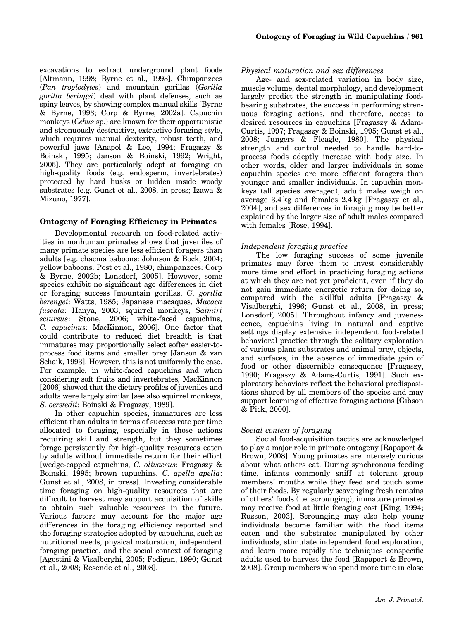excavations to extract underground plant foods [Altmann, 1998; Byrne et al., 1993]. Chimpanzees (Pan troglodytes) and mountain gorillas (Gorilla gorilla beringei) deal with plant defenses, such as spiny leaves, by showing complex manual skills [Byrne & Byrne, 1993; Corp & Byrne, 2002a]. Capuchin monkeys (Cebus sp.) are known for their opportunistic and strenuously destructive, extractive foraging style, which requires manual dexterity, robust teeth, and powerful jaws [Anapol & Lee, 1994; Fragaszy & Boinski, 1995; Janson & Boinski, 1992; Wright, 2005]. They are particularly adept at foraging on high-quality foods (e.g. endosperm, invertebrates) protected by hard husks or hidden inside woody substrates [e.g. Gunst et al., 2008, in press; Izawa & Mizuno, 1977].

## Ontogeny of Foraging Efficiency in Primates

Developmental research on food-related activities in nonhuman primates shows that juveniles of many primate species are less efficient foragers than adults [e.g. chacma baboons: Johnson & Bock, 2004; yellow baboons: Post et al., 1980; chimpanzees: Corp & Byrne, 2002b; Lonsdorf, 2005]. However, some species exhibit no significant age differences in diet or foraging success [mountain gorillas, G. gorilla berengei: Watts, 1985; Japanese macaques, Macaca fuscata: Hanya, 2003; squirrel monkeys, Saimiri sciureus: Stone, 2006; white-faced capuchins, C. capucinus: MacKinnon, 2006]. One factor that could contribute to reduced diet breadth is that immatures may proportionally select softer easier-toprocess food items and smaller prey [Janson & van Schaik, 1993]. However, this is not uniformly the case. For example, in white-faced capuchins and when considering soft fruits and invertebrates, MacKinnon [2006] showed that the dietary profiles of juveniles and adults were largely similar [see also squirrel monkeys, S. oerstedii: Boinski & Fragazsy, 1989].

In other capuchin species, immatures are less efficient than adults in terms of success rate per time allocated to foraging, especially in those actions requiring skill and strength, but they sometimes forage persistently for high-quality resources eaten by adults without immediate return for their effort [wedge-capped capuchins, C. olivaceus: Fragaszy & Boinski, 1995; brown capuchins, C. apella apella: Gunst et al., 2008, in press]. Investing considerable time foraging on high-quality resources that are difficult to harvest may support acquisition of skills to obtain such valuable resources in the future. Various factors may account for the major age differences in the foraging efficiency reported and the foraging strategies adopted by capuchins, such as nutritional needs, physical maturation, independent foraging practice, and the social context of foraging [Agostini & Visalberghi, 2005; Fedigan, 1990; Gunst et al., 2008; Resende et al., 2008].

### Physical maturation and sex differences

Age- and sex-related variation in body size, muscle volume, dental morphology, and development largely predict the strength in manipulating foodbearing substrates, the success in performing strenuous foraging actions, and therefore, access to desired resources in capuchins [Fragaszy & Adam-Curtis, 1997; Fragaszy & Boinski, 1995; Gunst et al., 2008; Jungers & Fleagle, 1980]. The physical strength and control needed to handle hard-toprocess foods adeptly increase with body size. In other words, older and larger individuals in some capuchin species are more efficient foragers than younger and smaller individuals. In capuchin monkeys (all species averaged), adult males weigh on average 3.4 kg and females 2.4 kg [Fragaszy et al., 2004], and sex differences in foraging may be better explained by the larger size of adult males compared with females [Rose, 1994].

# Independent foraging practice

The low foraging success of some juvenile primates may force them to invest considerably more time and effort in practicing foraging actions at which they are not yet proficient, even if they do not gain immediate energetic return for doing so, compared with the skillful adults [Fragaszy & Visalberghi, 1996; Gunst et al., 2008, in press; Lonsdorf, 2005]. Throughout infancy and juvenescence, capuchins living in natural and captive settings display extensive independent food-related behavioral practice through the solitary exploration of various plant substrates and animal prey, objects, and surfaces, in the absence of immediate gain of food or other discernible consequence [Fragaszy, 1990; Fragaszy & Adams-Curtis, 1991]. Such exploratory behaviors reflect the behavioral predispositions shared by all members of the species and may support learning of effective foraging actions [Gibson & Pick, 2000].

# Social context of foraging

Social food-acquisition tactics are acknowledged to play a major role in primate ontogeny [Rapaport & Brown, 2008]. Young primates are intensely curious about what others eat. During synchronous feeding time, infants commonly sniff at tolerant group members' mouths while they feed and touch some of their foods. By regularly scavenging fresh remains of others' foods (i.e. scrounging), immature primates may receive food at little foraging cost [King, 1994; Russon, 2003]. Scrounging may also help young individuals become familiar with the food items eaten and the substrates manipulated by other individuals, stimulate independent food exploration, and learn more rapidly the techniques conspecific adults used to harvest the food [Rapaport & Brown, 2008]. Group members who spend more time in close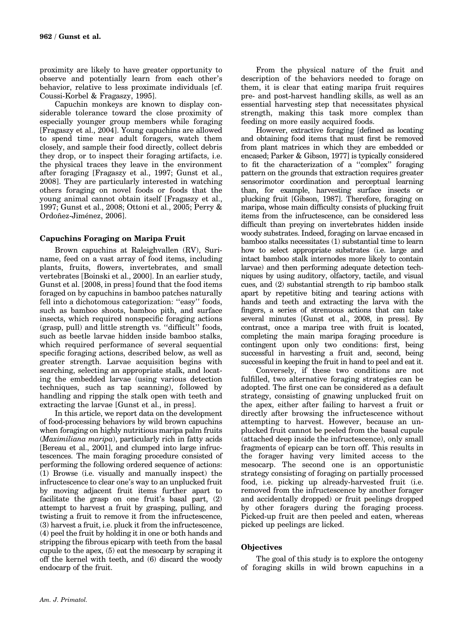proximity are likely to have greater opportunity to observe and potentially learn from each other's behavior, relative to less proximate individuals [cf. Coussi-Korbel & Fragaszy, 1995].

Capuchin monkeys are known to display considerable tolerance toward the close proximity of especially younger group members while foraging [Fragaszy et al., 2004]. Young capuchins are allowed to spend time near adult foragers, watch them closely, and sample their food directly, collect debris they drop, or to inspect their foraging artifacts, i.e. the physical traces they leave in the environment after foraging [Fragaszy et al., 1997; Gunst et al., 2008]. They are particularly interested in watching others foraging on novel foods or foods that the young animal cannot obtain itself [Fragaszy et al., 1997; Gunst et al., 2008; Ottoni et al., 2005; Perry & Ordoñez-Jiménez, 2006].

# Capuchins Foraging on Maripa Fruit

Brown capuchins at Raleighvallen (RV), Suriname, feed on a vast array of food items, including plants, fruits, flowers, invertebrates, and small vertebrates [Boinski et al., 2000]. In an earlier study, Gunst et al. [2008, in press] found that the food items foraged on by capuchins in bamboo patches naturally fell into a dichotomous categorization: ''easy'' foods, such as bamboo shoots, bamboo pith, and surface insects, which required nonspecific foraging actions (grasp, pull) and little strength vs. ''difficult'' foods, such as beetle larvae hidden inside bamboo stalks, which required performance of several sequential specific foraging actions, described below, as well as greater strength. Larvae acquisition begins with searching, selecting an appropriate stalk, and locating the embedded larvae (using various detection techniques, such as tap scanning), followed by handling and ripping the stalk open with teeth and extracting the larvae [Gunst et al., in press].

In this article, we report data on the development of food-processing behaviors by wild brown capuchins when foraging on highly nutritious maripa palm fruits (Maximiliana maripa), particularly rich in fatty acids [Bereau et al., 2001], and clumped into large infructescences. The main foraging procedure consisted of performing the following ordered sequence of actions: (1) Browse (i.e. visually and manually inspect) the infructescence to clear one's way to an unplucked fruit by moving adjacent fruit items further apart to facilitate the grasp on one fruit's basal part, (2) attempt to harvest a fruit by grasping, pulling, and twisting a fruit to remove it from the infructescence, (3) harvest a fruit, i.e. pluck it from the infructescence, (4) peel the fruit by holding it in one or both hands and stripping the fibrous epicarp with teeth from the basal cupule to the apex, (5) eat the mesocarp by scraping it off the kernel with teeth, and (6) discard the woody endocarp of the fruit.

From the physical nature of the fruit and description of the behaviors needed to forage on them, it is clear that eating maripa fruit requires pre- and post-harvest handling skills, as well as an essential harvesting step that necessitates physical strength, making this task more complex than feeding on more easily acquired foods.

However, extractive foraging [defined as locating and obtaining food items that must first be removed from plant matrices in which they are embedded or encased; Parker & Gibson, 1977] is typically considered to fit the characterization of a ''complex'' foraging pattern on the grounds that extraction requires greater sensorimotor coordination and perceptual learning than, for example, harvesting surface insects or plucking fruit [Gibson, 1987]. Therefore, foraging on maripa, whose main difficulty consists of plucking fruit items from the infructescence, can be considered less difficult than preying on invertebrates hidden inside woody substrates. Indeed, foraging on larvae encased in bamboo stalks necessitates (1) substantial time to learn how to select appropriate substrates (i.e. large and intact bamboo stalk internodes more likely to contain larvae) and then performing adequate detection techniques by using auditory, olfactory, tactile, and visual cues, and (2) substantial strength to rip bamboo stalk apart by repetitive biting and tearing actions with hands and teeth and extracting the larva with the fingers, a series of strenuous actions that can take several minutes [Gunst et al., 2008, in press]. By contrast, once a maripa tree with fruit is located, completing the main maripa foraging procedure is contingent upon only two conditions: first, being successful in harvesting a fruit and, second, being successful in keeping the fruit in hand to peel and eat it.

Conversely, if these two conditions are not fulfilled, two alternative foraging strategies can be adopted. The first one can be considered as a default strategy, consisting of gnawing unplucked fruit on the apex, either after failing to harvest a fruit or directly after browsing the infructescence without attempting to harvest. However, because an unplucked fruit cannot be peeled from the basal cupule (attached deep inside the infructescence), only small fragments of epicarp can be torn off. This results in the forager having very limited access to the mesocarp. The second one is an opportunistic strategy consisting of foraging on partially processed food, i.e. picking up already-harvested fruit (i.e. removed from the infructescence by another forager and accidentally dropped) or fruit peelings dropped by other foragers during the foraging process. Picked-up fruit are then peeled and eaten, whereas picked up peelings are licked.

## **Objectives**

The goal of this study is to explore the ontogeny of foraging skills in wild brown capuchins in a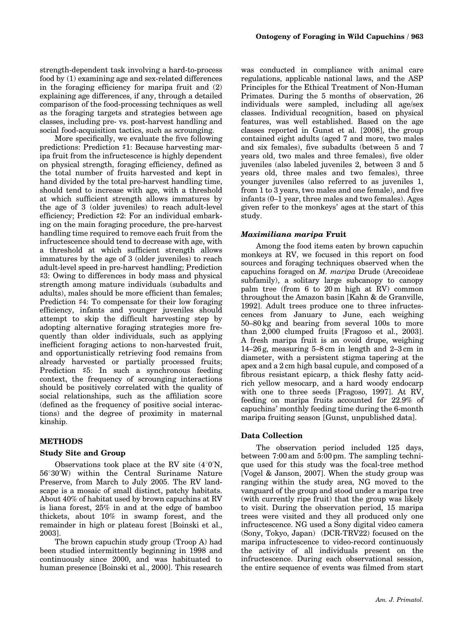strength-dependent task involving a hard-to-process food by (1) examining age and sex-related differences in the foraging efficiency for maripa fruit and (2) explaining age differences, if any, through a detailed comparison of the food-processing techniques as well as the foraging targets and strategies between age classes, including pre- vs. post-harvest handling and social food-acquisition tactics, such as scrounging.

More specifically, we evaluate the five following predictions: Prediction #1: Because harvesting maripa fruit from the infructescence is highly dependent on physical strength, foraging efficiency, defined as the total number of fruits harvested and kept in hand divided by the total pre-harvest handling time, should tend to increase with age, with a threshold at which sufficient strength allows immatures by the age of 3 (older juveniles) to reach adult-level efficiency; Prediction #2: For an individual embarking on the main foraging procedure, the pre-harvest handling time required to remove each fruit from the infructescence should tend to decrease with age, with a threshold at which sufficient strength allows immatures by the age of 3 (older juveniles) to reach adult-level speed in pre-harvest handling; Prediction #3: Owing to differences in body mass and physical strength among mature individuals (subadults and adults), males should be more efficient than females; Prediction #4: To compensate for their low foraging efficiency, infants and younger juveniles should attempt to skip the difficult harvesting step by adopting alternative foraging strategies more frequently than older individuals, such as applying inefficient foraging actions to non-harvested fruit, and opportunistically retrieving food remains from already harvested or partially processed fruits; Prediction #5: In such a synchronous feeding context, the frequency of scrounging interactions should be positively correlated with the quality of social relationships, such as the affiliation score (defined as the frequency of positive social interactions) and the degree of proximity in maternal kinship.

# METHODS

#### Study Site and Group

Observations took place at the RV site  $(4^{\circ}0'N,$ 56°30'W) within the Central Suriname Nature Preserve, from March to July 2005. The RV landscape is a mosaic of small distinct, patchy habitats. About 40% of habitat used by brown capuchins at RV is liana forest, 25% in and at the edge of bamboo thickets, about 10% in swamp forest, and the remainder in high or plateau forest [Boinski et al., 2003].

The brown capuchin study group (Troop A) had been studied intermittently beginning in 1998 and continuously since 2000, and was habituated to human presence [Boinski et al., 2000]. This research

was conducted in compliance with animal care regulations, applicable national laws, and the ASP Principles for the Ethical Treatment of Non-Human Primates. During the 5 months of observation, 26 individuals were sampled, including all age/sex classes. Individual recognition, based on physical features, was well established. Based on the age classes reported in Gunst et al. [2008], the group contained eight adults (aged 7 and more, two males and six females), five subadults (between 5 and 7 years old, two males and three females), five older juveniles (also labeled juveniles 2, between 3 and 5 years old, three males and two females), three younger juveniles (also referred to as juveniles 1, from 1 to 3 years, two males and one female), and five infants (0–1 year, three males and two females). Ages given refer to the monkeys' ages at the start of this study.

#### Maximiliana maripa Fruit

Among the food items eaten by brown capuchin monkeys at RV, we focused in this report on food sources and foraging techniques observed when the capuchins foraged on M. maripa Drude (Arecoideae subfamily), a solitary large subcanopy to canopy palm tree (from 6 to 20 m high at RV) common throughout the Amazon basin [Kahn & de Granville, 1992]. Adult trees produce one to three infructescences from January to June, each weighing 50–80 kg and bearing from several 100s to more than 2,000 clumped fruits [Fragoso et al., 2003]. A fresh maripa fruit is an ovoid drupe, weighing 14–26 g, measuring 5–8 cm in length and 2–3 cm in diameter, with a persistent stigma tapering at the apex and a 2 cm high basal cupule, and composed of a fibrous resistant epicarp, a thick fleshy fatty acidrich yellow mesocarp, and a hard woody endocarp with one to three seeds [Fragoso, 1997]. At RV, feeding on maripa fruits accounted for 22.9% of capuchins' monthly feeding time during the 6-month maripa fruiting season [Gunst, unpublished data].

#### Data Collection

The observation period included 125 days, between 7:00 am and 5:00 pm. The sampling technique used for this study was the focal-tree method [Vogel & Janson, 2007]. When the study group was ranging within the study area, NG moved to the vanguard of the group and stood under a maripa tree (with currently ripe fruit) that the group was likely to visit. During the observation period, 15 maripa trees were visited and they all produced only one infructescence. NG used a Sony digital video camera (Sony, Tokyo, Japan) (DCR-TRV22) focused on the maripa infructescence to video-record continuously the activity of all individuals present on the infructescence. During each observational session, the entire sequence of events was filmed from start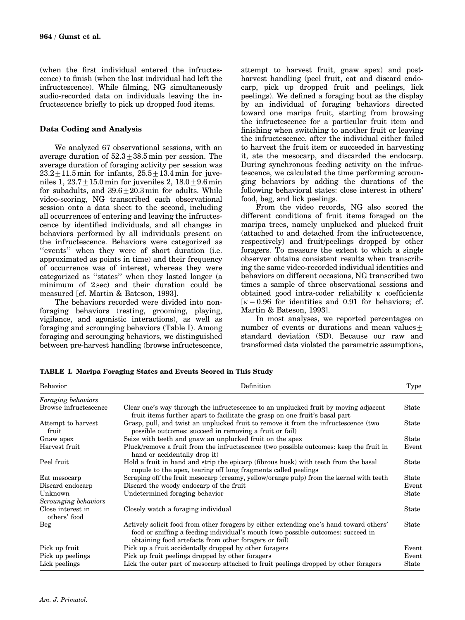(when the first individual entered the infructescence) to finish (when the last individual had left the infructescence). While filming, NG simultaneously audio-recorded data on individuals leaving the infructescence briefly to pick up dropped food items.

# Data Coding and Analysis

We analyzed 67 observational sessions, with an average duration of  $52.3 \pm 38.5$  min per session. The average duration of foraging activity per session was  $23.2+11.5$  min for infants,  $25.5+13.4$  min for juveniles 1,  $23.7 + 15.0$  min for juveniles 2,  $18.0 + 9.6$  min for subadults, and  $39.6+20.3$  min for adults. While video-scoring, NG transcribed each observational session onto a data sheet to the second, including all occurrences of entering and leaving the infructescence by identified individuals, and all changes in behaviors performed by all individuals present on the infructescence. Behaviors were categorized as ''events'' when they were of short duration (i.e. approximated as points in time) and their frequency of occurrence was of interest, whereas they were categorized as ''states'' when they lasted longer (a minimum of 2 sec) and their duration could be measured [cf. Martin & Bateson, 1993].

The behaviors recorded were divided into nonforaging behaviors (resting, grooming, playing, vigilance, and agonistic interactions), as well as foraging and scrounging behaviors (Table I). Among foraging and scrounging behaviors, we distinguished between pre-harvest handling (browse infructescence,

attempt to harvest fruit, gnaw apex) and postharvest handling (peel fruit, eat and discard endocarp, pick up dropped fruit and peelings, lick peelings). We defined a foraging bout as the display by an individual of foraging behaviors directed toward one maripa fruit, starting from browsing the infructescence for a particular fruit item and finishing when switching to another fruit or leaving the infructescence, after the individual either failed to harvest the fruit item or succeeded in harvesting it, ate the mesocarp, and discarded the endocarp. During synchronous feeding activity on the infructescence, we calculated the time performing scrounging behaviors by adding the durations of the following behavioral states: close interest in others' food, beg, and lick peelings.

From the video records, NG also scored the different conditions of fruit items foraged on the maripa trees, namely unplucked and plucked fruit (attached to and detached from the infructescence, respectively) and fruit/peelings dropped by other foragers. To measure the extent to which a single observer obtains consistent results when transcribing the same video-recorded individual identities and behaviors on different occasions, NG transcribed two times a sample of three observational sessions and obtained good intra-coder reliability  $\kappa$  coefficients  $\kappa = 0.96$  for identities and 0.91 for behaviors; cf. Martin & Bateson, 1993].

In most analyses, we reported percentages on number of events or durations and mean values $+$ standard deviation (SD). Because our raw and transformed data violated the parametric assumptions,

| Behavior                          | Definition                                                                                                                                                                                                                           | Type         |
|-----------------------------------|--------------------------------------------------------------------------------------------------------------------------------------------------------------------------------------------------------------------------------------|--------------|
| Foraging behaviors                |                                                                                                                                                                                                                                      |              |
| Browse infructescence             | Clear one's way through the infructescence to an unplucked fruit by moving adjacent<br>fruit items further apart to facilitate the grasp on one fruit's basal part                                                                   | State        |
| Attempt to harvest<br>fruit       | Grasp, pull, and twist an unplucked fruit to remove it from the infructescence (two<br>possible outcomes: succeed in removing a fruit or fail)                                                                                       | State        |
| Gnaw apex                         | Seize with teeth and gnaw an unplucked fruit on the apex                                                                                                                                                                             | State        |
| Harvest fruit                     | Pluck/remove a fruit from the infructescence (two possible outcomes: keep the fruit in<br>hand or accidentally drop it)                                                                                                              | Event        |
| Peel fruit                        | Hold a fruit in hand and strip the epicarp (fibrous husk) with teeth from the basal<br>cupule to the apex, tearing off long fragments called peelings                                                                                | State        |
| Eat mesocarp                      | Scraping off the fruit mesocarp (creamy, yellow/orange pulp) from the kernel with teeth                                                                                                                                              | State        |
| Discard endocarp                  | Discard the woody endocarp of the fruit                                                                                                                                                                                              | Event        |
| Unknown                           | Undetermined foraging behavior                                                                                                                                                                                                       | <b>State</b> |
| Scrounging behaviors              |                                                                                                                                                                                                                                      |              |
| Close interest in<br>others' food | Closely watch a foraging individual                                                                                                                                                                                                  | State        |
| Beg                               | Actively solicit food from other foragers by either extending one's hand toward others'<br>food or sniffing a feeding individual's mouth (two possible outcomes: succeed in<br>obtaining food artefacts from other foragers or fail) | State        |
| Pick up fruit                     | Pick up a fruit accidentally dropped by other foragers                                                                                                                                                                               | Event        |
| Pick up peelings                  | Pick up fruit peelings dropped by other foragers                                                                                                                                                                                     | Event        |
| Lick peelings                     | Lick the outer part of mesocarp attached to fruit peelings dropped by other foragers                                                                                                                                                 | State        |

TABLE I. Maripa Foraging States and Events Scored in This Study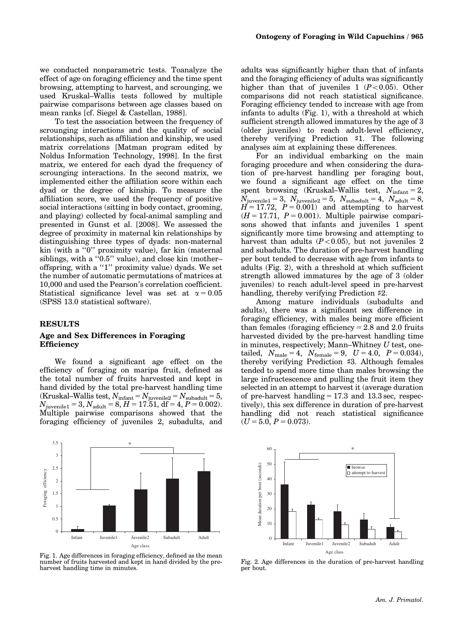we conducted nonparametric tests. Toanalyze the effect of age on foraging efficiency and the time spent browsing, attempting to harvest, and scrounging, we used Kruskal–Wallis tests followed by multiple pairwise comparisons between age classes based on mean ranks [cf. Siegel & Castellan, 1988].

To test the association between the frequency of scrounging interactions and the quality of social relationships, such as affiliation and kinship, we used matrix correlations [Matman program edited by Noldus Information Technology, 1998]. In the first matrix, we entered for each dyad the frequency of scrounging interactions. In the second matrix, we implemented either the affiliation score within each dyad or the degree of kinship. To measure the affiliation score, we used the frequency of positive social interactions (sitting in body contact, grooming, and playing) collected by focal-animal sampling and presented in Gunst et al. [2008]. We assessed the degree of proximity in maternal kin relationships by distinguishing three types of dyads: non-maternal kin (with a ''0'' proximity value), far kin (maternal siblings, with a ''0.5'' value), and close kin (mother– offspring, with a ''1'' proximity value) dyads. We set the number of automatic permutations of matrices at 10,000 and used the Pearson's correlation coefficient. Statistical significance level was set at  $\alpha = 0.05$ (SPSS 13.0 statistical software).

#### RESULTS

#### Age and Sex Differences in Foraging Efficiency

We found a significant age effect on the efficiency of foraging on maripa fruit, defined as the total number of fruits harvested and kept in hand divided by the total pre-harvest handling time (Kruskal–Wallis test,  $N_{\text{infant}} = N_{\text{juvenile2}} = N_{\text{subadult}} = 5$ ,  $N_{\rm juvenile1}=3, N_{\rm adult}$  =  $8, H$  =  $17.51,$  df =  $4, P$  = 0.002). Multiple pairwise comparisons showed that the foraging efficiency of juveniles 2, subadults, and



Fig. 1. Age differences in foraging efficiency, defined as the mean number of fruits harvested and kept in hand divided by the preharvest handling time in minutes.

adults was significantly higher than that of infants and the foraging efficiency of adults was significantly higher than that of juveniles  $1 (P<0.05)$ . Other comparisons did not reach statistical significance. Foraging efficiency tended to increase with age from infants to adults (Fig. 1), with a threshold at which sufficient strength allowed immatures by the age of 3 (older juveniles) to reach adult-level efficiency, thereby verifying Prediction  $\sharp$ 1. The following analyses aim at explaining these differences.

For an individual embarking on the main foraging procedure and when considering the duration of pre-harvest handling per foraging bout, we found a significant age effect on the time spent browsing (Kruskal–Wallis test,  $N_{\text{infant}} = 2$ ,  $N_{\text{juvenile1}} = 3$ ,  $N_{\text{juvenile2}} = 5$ ,  $N_{\text{subadult}} = 4$ ,  $N_{\text{adult}} = 8$ ,  $H = 17.72$ ,  $P = 0.001$  and attempting to harvest  $(H = 17.71, P = 0.001)$ . Multiple pairwise comparisons showed that infants and juveniles 1 spent significantly more time browsing and attempting to harvest than adults  $(P<0.05)$ , but not juveniles 2 and subadults. The duration of pre-harvest handling per bout tended to decrease with age from infants to adults (Fig. 2), with a threshold at which sufficient strength allowed immatures by the age of 3 (older juveniles) to reach adult-level speed in pre-harvest handling, thereby verifying Prediction #2.

Among mature individuals (subadults and adults), there was a significant sex difference in foraging efficiency, with males being more efficient than females (foraging efficiency  $= 2.8$  and 2.0 fruits harvested divided by the pre-harvest handling time in minutes, respectively; Mann–Whitney  $U$  test, onetailed,  $N_{\text{male}} = 4$ ,  $N_{\text{female}} = 9$ ,  $U = 4.0$ ,  $P = 0.034$ ), thereby verifying Prediction #3. Although females tended to spend more time than males browsing the large infructescence and pulling the fruit item they selected in an attempt to harvest it (average duration of pre-harvest handling  $= 17.3$  and  $13.3$  sec, respectively), this sex difference in duration of pre-harvest handling did not reach statistical significance  $(U = 5.0, P = 0.073).$ 



Fig. 2. Age differences in the duration of pre-harvest handling per bout.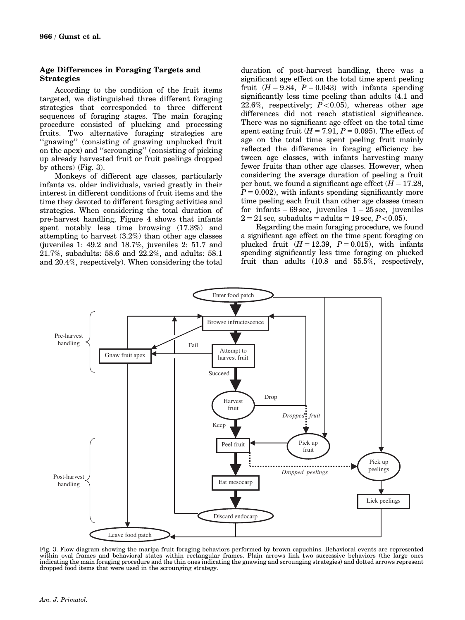# Age Differences in Foraging Targets and Strategies

According to the condition of the fruit items targeted, we distinguished three different foraging strategies that corresponded to three different sequences of foraging stages. The main foraging procedure consisted of plucking and processing fruits. Two alternative foraging strategies are ''gnawing'' (consisting of gnawing unplucked fruit on the apex) and ''scrounging'' (consisting of picking up already harvested fruit or fruit peelings dropped by others) (Fig. 3).

Monkeys of different age classes, particularly infants vs. older individuals, varied greatly in their interest in different conditions of fruit items and the time they devoted to different foraging activities and strategies. When considering the total duration of pre-harvest handling, Figure 4 shows that infants spent notably less time browsing (17.3%) and attempting to harvest (3.2%) than other age classes (juveniles 1: 49.2 and 18.7%, juveniles 2: 51.7 and 21.7%, subadults: 58.6 and 22.2%, and adults: 58.1 and 20.4%, respectively). When considering the total

duration of post-harvest handling, there was a significant age effect on the total time spent peeling fruit  $(H = 9.84, P = 0.043)$  with infants spending significantly less time peeling than adults (4.1 and 22.6%, respectively;  $P < 0.05$ ), whereas other age differences did not reach statistical significance. There was no significant age effect on the total time spent eating fruit  $(H = 7.91, P = 0.095)$ . The effect of age on the total time spent peeling fruit mainly reflected the difference in foraging efficiency between age classes, with infants harvesting many fewer fruits than other age classes. However, when considering the average duration of peeling a fruit per bout, we found a significant age effect  $(H = 17.28$ ,  $P = 0.002$ , with infants spending significantly more time peeling each fruit than other age classes (mean for infants =  $69 \text{ sec}$ , juveniles  $1 = 25 \text{ sec}$ , juveniles  $2 = 21$  sec, subadults = adults = 19 sec,  $P < 0.05$ ).

Regarding the main foraging procedure, we found a significant age effect on the time spent foraging on plucked fruit  $(H = 12.39, P = 0.015)$ , with infants spending significantly less time foraging on plucked fruit than adults (10.8 and 55.5%, respectively,



Fig. 3. Flow diagram showing the maripa fruit foraging behaviors performed by brown capuchins. Behavioral events are represented within oval frames and behavioral states within rectangular frames. Plain arrows link two successive behaviors (the large ones indicating the main foraging procedure and the thin ones indicating the gnawing and scrounging strategies) and dotted arrows represent dropped food items that were used in the scrounging strategy.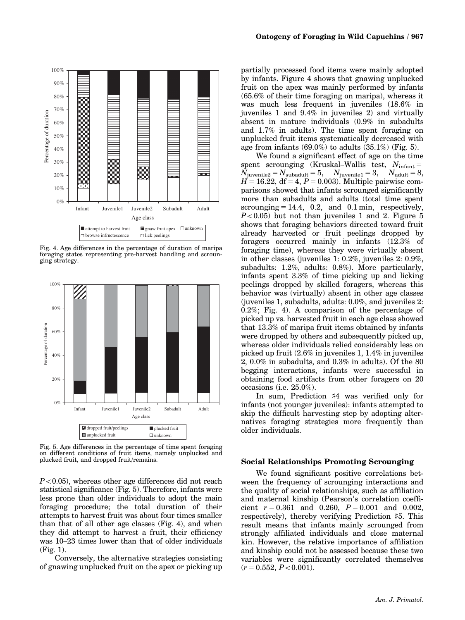

Fig. 4. Age differences in the percentage of duration of maripa foraging states representing pre-harvest handling and scrounging strategy.



Fig. 5. Age differences in the percentage of time spent foraging on different conditions of fruit items, namely unplucked and plucked fruit, and dropped fruit/remains.

 $P<0.05$ ), whereas other age differences did not reach statistical significance (Fig. 5). Therefore, infants were less prone than older individuals to adopt the main foraging procedure; the total duration of their attempts to harvest fruit was about four times smaller than that of all other age classes (Fig. 4), and when they did attempt to harvest a fruit, their efficiency was 10–23 times lower than that of older individuals (Fig. 1).

Conversely, the alternative strategies consisting of gnawing unplucked fruit on the apex or picking up

partially processed food items were mainly adopted by infants. Figure 4 shows that gnawing unplucked fruit on the apex was mainly performed by infants (65.6% of their time foraging on maripa), whereas it was much less frequent in juveniles (18.6% in juveniles 1 and 9.4% in juveniles 2) and virtually absent in mature individuals (0.9% in subadults and 1.7% in adults). The time spent foraging on unplucked fruit items systematically decreased with age from infants  $(69.0\%)$  to adults  $(35.1\%)$  (Fig. 5).

We found a significant effect of age on the time spent scrounging (Kruskal–Wallis test,  $N_{\text{infant}} =$  $N_{\text{juvenile2}} = N_{\text{subadult}} = 5$ ,  $N_{\text{juvenile1}} = 3$ ,  $N_{\text{adult}} = 8$ ,  $H = 16.22$ , df = 4, P = 0.003). Multiple pairwise comparisons showed that infants scrounged significantly more than subadults and adults (total time spent scrounging  $= 14.4$ , 0.2, and 0.1 min, respectively,  $P<0.05$ ) but not than juveniles 1 and 2. Figure 5 shows that foraging behaviors directed toward fruit already harvested or fruit peelings dropped by foragers occurred mainly in infants (12.3% of foraging time), whereas they were virtually absent in other classes (juveniles 1: 0.2%, juveniles 2: 0.9%, subadults: 1.2%, adults: 0.8%). More particularly, infants spent 3.3% of time picking up and licking peelings dropped by skilled foragers, whereas this behavior was (virtually) absent in other age classes (juveniles 1, subadults, adults: 0.0%, and juveniles 2: 0.2%; Fig. 4). A comparison of the percentage of picked up vs. harvested fruit in each age class showed that 13.3% of maripa fruit items obtained by infants were dropped by others and subsequently picked up, whereas older individuals relied considerably less on picked up fruit (2.6% in juveniles 1, 1.4% in juveniles 2, 0.0% in subadults, and 0.3% in adults). Of the 80 begging interactions, infants were successful in obtaining food artifacts from other foragers on 20 occasions (i.e. 25.0%).

In sum, Prediction #4 was verified only for infants (not younger juveniles): infants attempted to skip the difficult harvesting step by adopting alternatives foraging strategies more frequently than older individuals.

#### Social Relationships Promoting Scrounging

We found significant positive correlations between the frequency of scrounging interactions and the quality of social relationships, such as affiliation and maternal kinship (Pearson's correlation coefficient  $r = 0.361$  and 0.260,  $P = 0.001$  and 0.002, respectively), thereby verifying Prediction  $#5$ . This result means that infants mainly scrounged from strongly affiliated individuals and close maternal kin. However, the relative importance of affiliation and kinship could not be assessed because these two variables were significantly correlated themselves  $(r = 0.552, P < 0.001).$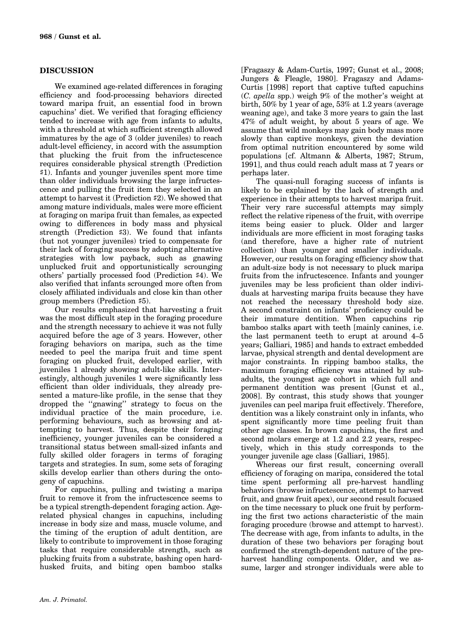# **DISCUSSION**

We examined age-related differences in foraging efficiency and food-processing behaviors directed toward maripa fruit, an essential food in brown capuchins' diet. We verified that foraging efficiency tended to increase with age from infants to adults, with a threshold at which sufficient strength allowed immatures by the age of 3 (older juveniles) to reach adult-level efficiency, in accord with the assumption that plucking the fruit from the infructescence requires considerable physical strength (Prediction #1). Infants and younger juveniles spent more time than older individuals browsing the large infructescence and pulling the fruit item they selected in an attempt to harvest it (Prediction #2). We showed that among mature individuals, males were more efficient at foraging on maripa fruit than females, as expected owing to differences in body mass and physical strength (Prediction #3). We found that infants (but not younger juveniles) tried to compensate for their lack of foraging success by adopting alternative strategies with low payback, such as gnawing unplucked fruit and opportunistically scrounging others' partially processed food (Prediction #4). We also verified that infants scrounged more often from closely affiliated individuals and close kin than other group members (Prediction #5).

Our results emphasized that harvesting a fruit was the most difficult step in the foraging procedure and the strength necessary to achieve it was not fully acquired before the age of 3 years. However, other foraging behaviors on maripa, such as the time needed to peel the maripa fruit and time spent foraging on plucked fruit, developed earlier, with juveniles 1 already showing adult-like skills. Interestingly, although juveniles 1 were significantly less efficient than older individuals, they already presented a mature-like profile, in the sense that they dropped the ''gnawing'' strategy to focus on the individual practice of the main procedure, i.e. performing behaviours, such as browsing and attempting to harvest. Thus, despite their foraging inefficiency, younger juveniles can be considered a transitional status between small-sized infants and fully skilled older foragers in terms of foraging targets and strategies. In sum, some sets of foraging skills develop earlier than others during the ontogeny of capuchins.

For capuchins, pulling and twisting a maripa fruit to remove it from the infructescence seems to be a typical strength-dependent foraging action. Agerelated physical changes in capuchins, including increase in body size and mass, muscle volume, and the timing of the eruption of adult dentition, are likely to contribute to improvement in those foraging tasks that require considerable strength, such as plucking fruits from a substrate, bashing open hardhusked fruits, and biting open bamboo stalks

[Fragaszy & Adam-Curtis, 1997; Gunst et al., 2008; Jungers & Fleagle, 1980]. Fragaszy and Adams-Curtis [1998] report that captive tufted capuchins (C. apella spp.) weigh 9% of the mother's weight at birth, 50% by 1 year of age, 53% at 1.2 years (average weaning age), and take 3 more years to gain the last 47% of adult weight, by about 5 years of age. We assume that wild monkeys may gain body mass more slowly than captive monkeys, given the deviation from optimal nutrition encountered by some wild populations [cf. Altmann & Alberts, 1987; Strum, 1991], and thus could reach adult mass at 7 years or perhaps later.

The quasi-null foraging success of infants is likely to be explained by the lack of strength and experience in their attempts to harvest maripa fruit. Their very rare successful attempts may simply reflect the relative ripeness of the fruit, with overripe items being easier to pluck. Older and larger individuals are more efficient in most foraging tasks (and therefore, have a higher rate of nutrient collection) than younger and smaller individuals. However, our results on foraging efficiency show that an adult-size body is not necessary to pluck maripa fruits from the infructescence. Infants and younger juveniles may be less proficient than older individuals at harvesting maripa fruits because they have not reached the necessary threshold body size. A second constraint on infants' proficiency could be their immature dentition. When capuchins rip bamboo stalks apart with teeth [mainly canines, i.e. the last permanent teeth to erupt at around 4–5 years; Galliari, 1985] and hands to extract embedded larvae, physical strength and dental development are major constraints. In ripping bamboo stalks, the maximum foraging efficiency was attained by subadults, the youngest age cohort in which full and permanent dentition was present [Gunst et al., 2008]. By contrast, this study shows that younger juveniles can peel maripa fruit effectively. Therefore, dentition was a likely constraint only in infants, who spent significantly more time peeling fruit than other age classes. In brown capuchins, the first and second molars emerge at 1.2 and 2.2 years, respectively, which in this study corresponds to the younger juvenile age class [Galliari, 1985].

Whereas our first result, concerning overall efficiency of foraging on maripa, considered the total time spent performing all pre-harvest handling behaviors (browse infructescence, attempt to harvest fruit, and gnaw fruit apex), our second result focused on the time necessary to pluck one fruit by performing the first two actions characteristic of the main foraging procedure (browse and attempt to harvest). The decrease with age, from infants to adults, in the duration of these two behaviors per foraging bout confirmed the strength-dependent nature of the preharvest handling components. Older, and we assume, larger and stronger individuals were able to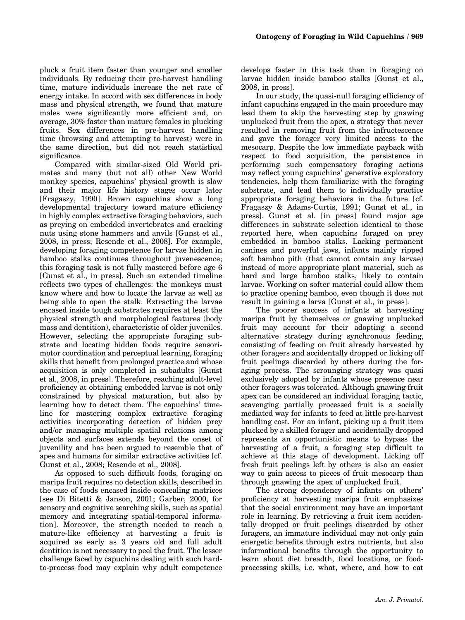pluck a fruit item faster than younger and smaller individuals. By reducing their pre-harvest handling time, mature individuals increase the net rate of energy intake. In accord with sex differences in body mass and physical strength, we found that mature males were significantly more efficient and, on average, 30% faster than mature females in plucking fruits. Sex differences in pre-harvest handling time (browsing and attempting to harvest) were in the same direction, but did not reach statistical significance.

Compared with similar-sized Old World primates and many (but not all) other New World monkey species, capuchins' physical growth is slow and their major life history stages occur later [Fragaszy, 1990]. Brown capuchins show a long developmental trajectory toward mature efficiency in highly complex extractive foraging behaviors, such as preying on embedded invertebrates and cracking nuts using stone hammers and anvils [Gunst et al., 2008, in press; Resende et al., 2008]. For example, developing foraging competence for larvae hidden in bamboo stalks continues throughout juvenescence; this foraging task is not fully mastered before age 6 [Gunst et al., in press]. Such an extended timeline reflects two types of challenges: the monkeys must know where and how to locate the larvae as well as being able to open the stalk. Extracting the larvae encased inside tough substrates requires at least the physical strength and morphological features (body mass and dentition), characteristic of older juveniles. However, selecting the appropriate foraging substrate and locating hidden foods require sensorimotor coordination and perceptual learning, foraging skills that benefit from prolonged practice and whose acquisition is only completed in subadults [Gunst et al., 2008, in press]. Therefore, reaching adult-level proficiency at obtaining embedded larvae is not only constrained by physical maturation, but also by learning how to detect them. The capuchins' timeline for mastering complex extractive foraging activities incorporating detection of hidden prey and/or managing multiple spatial relations among objects and surfaces extends beyond the onset of juvenility and has been argued to resemble that of apes and humans for similar extractive activities [cf. Gunst et al., 2008; Resende et al., 2008].

As opposed to such difficult foods, foraging on maripa fruit requires no detection skills, described in the case of foods encased inside concealing matrices [see Di Bitetti & Janson, 2001; Garber, 2000, for sensory and cognitive searching skills, such as spatial memory and integrating spatial-temporal information]. Moreover, the strength needed to reach a mature-like efficiency at harvesting a fruit is acquired as early as 3 years old and full adult dentition is not necessary to peel the fruit. The lesser challenge faced by capuchins dealing with such hardto-process food may explain why adult competence develops faster in this task than in foraging on larvae hidden inside bamboo stalks [Gunst et al., 2008, in press].

In our study, the quasi-null foraging efficiency of infant capuchins engaged in the main procedure may lead them to skip the harvesting step by gnawing unplucked fruit from the apex, a strategy that never resulted in removing fruit from the infructescence and gave the forager very limited access to the mesocarp. Despite the low immediate payback with respect to food acquisition, the persistence in performing such compensatory foraging actions may reflect young capuchins' generative exploratory tendencies, help them familiarize with the foraging substrate, and lead them to individually practice appropriate foraging behaviors in the future [cf. Fragaszy & Adams-Curtis, 1991; Gunst et al., in press]. Gunst et al. [in press] found major age differences in substrate selection identical to those reported here, when capuchins foraged on prey embedded in bamboo stalks. Lacking permanent canines and powerful jaws, infants mainly ripped soft bamboo pith (that cannot contain any larvae) instead of more appropriate plant material, such as hard and large bamboo stalks, likely to contain larvae. Working on softer material could allow them to practice opening bamboo, even though it does not result in gaining a larva [Gunst et al., in press].

The poorer success of infants at harvesting maripa fruit by themselves or gnawing unplucked fruit may account for their adopting a second alternative strategy during synchronous feeding, consisting of feeding on fruit already harvested by other foragers and accidentally dropped or licking off fruit peelings discarded by others during the foraging process. The scrounging strategy was quasi exclusively adopted by infants whose presence near other foragers was tolerated. Although gnawing fruit apex can be considered an individual foraging tactic, scavenging partially processed fruit is a socially mediated way for infants to feed at little pre-harvest handling cost. For an infant, picking up a fruit item plucked by a skilled forager and accidentally dropped represents an opportunistic means to bypass the harvesting of a fruit, a foraging step difficult to achieve at this stage of development. Licking off fresh fruit peelings left by others is also an easier way to gain access to pieces of fruit mesocarp than through gnawing the apex of unplucked fruit.

The strong dependency of infants on others' proficiency at harvesting maripa fruit emphasizes that the social environment may have an important role in learning. By retrieving a fruit item accidentally dropped or fruit peelings discarded by other foragers, an immature individual may not only gain energetic benefits through extra nutrients, but also informational benefits through the opportunity to learn about diet breadth, food locations, or foodprocessing skills, i.e. what, where, and how to eat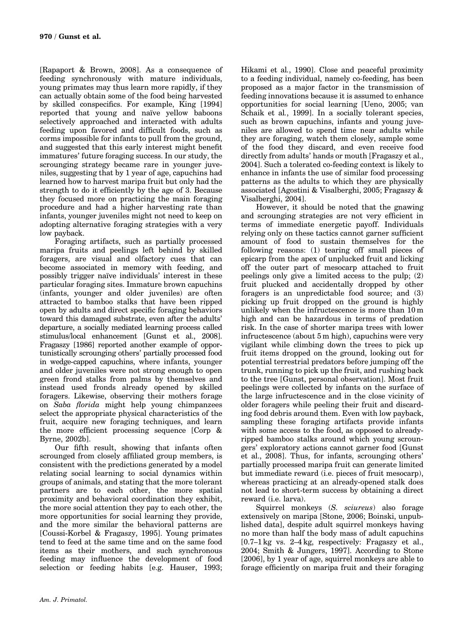[Rapaport & Brown, 2008]. As a consequence of feeding synchronously with mature individuals, young primates may thus learn more rapidly, if they can actually obtain some of the food being harvested by skilled conspecifics. For example, King [1994] reported that young and naïve yellow baboons selectively approached and interacted with adults feeding upon favored and difficult foods, such as corms impossible for infants to pull from the ground, and suggested that this early interest might benefit immatures' future foraging success. In our study, the scrounging strategy became rare in younger juveniles, suggesting that by 1 year of age, capuchins had learned how to harvest maripa fruit but only had the strength to do it efficiently by the age of 3. Because they focused more on practicing the main foraging procedure and had a higher harvesting rate than infants, younger juveniles might not need to keep on adopting alternative foraging strategies with a very low payback.

Foraging artifacts, such as partially processed maripa fruits and peelings left behind by skilled foragers, are visual and olfactory cues that can become associated in memory with feeding, and possibly trigger naïve individuals' interest in these particular foraging sites. Immature brown capuchins (infants, younger and older juveniles) are often attracted to bamboo stalks that have been ripped open by adults and direct specific foraging behaviors toward this damaged substrate, even after the adults' departure, a socially mediated learning process called stimulus/local enhancement [Gunst et al., 2008]. Fragaszy [1986] reported another example of opportunistically scrounging others' partially processed food in wedge-capped capuchins, where infants, younger and older juveniles were not strong enough to open green frond stalks from palms by themselves and instead used fronds already opened by skilled foragers. Likewise, observing their mothers forage on Saba florida might help young chimpanzees select the appropriate physical characteristics of the fruit, acquire new foraging techniques, and learn the more efficient processing sequence [Corp & Byrne, 2002b].

Our fifth result, showing that infants often scrounged from closely affiliated group members, is consistent with the predictions generated by a model relating social learning to social dynamics within groups of animals, and stating that the more tolerant partners are to each other, the more spatial proximity and behavioral coordination they exhibit, the more social attention they pay to each other, the more opportunities for social learning they provide, and the more similar the behavioral patterns are [Coussi-Korbel & Fragaszy, 1995]. Young primates tend to feed at the same time and on the same food items as their mothers, and such synchronous feeding may influence the development of food selection or feeding habits [e.g. Hauser, 1993;

Hikami et al., 1990]. Close and peaceful proximity to a feeding individual, namely co-feeding, has been proposed as a major factor in the transmission of feeding innovations because it is assumed to enhance opportunities for social learning [Ueno, 2005; van Schaik et al., 1999]. In a socially tolerant species, such as brown capuchins, infants and young juveniles are allowed to spend time near adults while they are foraging, watch them closely, sample some of the food they discard, and even receive food directly from adults' hands or mouth [Fragaszy et al., 2004]. Such a tolerated co-feeding context is likely to enhance in infants the use of similar food processing patterns as the adults to which they are physically associated [Agostini & Visalberghi, 2005; Fragaszy & Visalberghi, 2004].

However, it should be noted that the gnawing and scrounging strategies are not very efficient in terms of immediate energetic payoff. Individuals relying only on these tactics cannot garner sufficient amount of food to sustain themselves for the following reasons: (1) tearing off small pieces of epicarp from the apex of unplucked fruit and licking off the outer part of mesocarp attached to fruit peelings only give a limited access to the pulp; (2) fruit plucked and accidentally dropped by other foragers is an unpredictable food source; and (3) picking up fruit dropped on the ground is highly unlikely when the infructescence is more than 10 m high and can be hazardous in terms of predation risk. In the case of shorter maripa trees with lower infructescence (about 5 m high), capuchins were very vigilant while climbing down the trees to pick up fruit items dropped on the ground, looking out for potential terrestrial predators before jumping off the trunk, running to pick up the fruit, and rushing back to the tree [Gunst, personal observation]. Most fruit peelings were collected by infants on the surface of the large infructescence and in the close vicinity of older foragers while peeling their fruit and discarding food debris around them. Even with low payback, sampling these foraging artifacts provide infants with some access to the food, as opposed to alreadyripped bamboo stalks around which young scroungers' exploratory actions cannot garner food [Gunst et al., 2008]. Thus, for infants, scrounging others' partially processed maripa fruit can generate limited but immediate reward (i.e. pieces of fruit mesocarp), whereas practicing at an already-opened stalk does not lead to short-term success by obtaining a direct reward (i.e. larva).

Squirrel monkeys (S. sciureus) also forage extensively on maripa [Stone, 2006; Boinski, unpublished data], despite adult squirrel monkeys having no more than half the body mass of adult capuchins [0.7–1 kg vs. 2–4 kg, respectively: Fragaszy et al., 2004; Smith & Jungers, 1997]. According to Stone [2006], by 1 year of age, squirrel monkeys are able to forage efficiently on maripa fruit and their foraging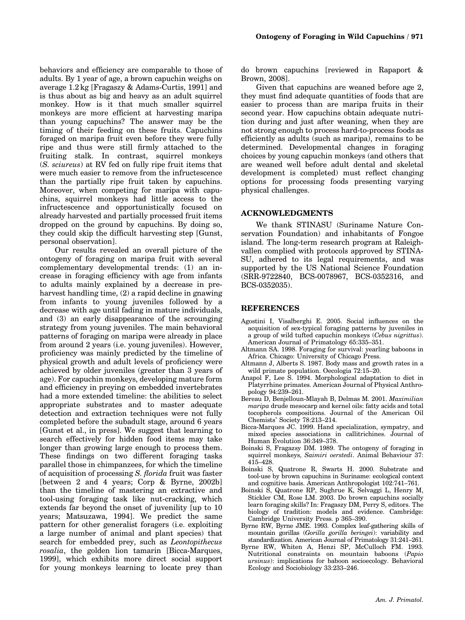behaviors and efficiency are comparable to those of adults. By 1 year of age, a brown capuchin weighs on average 1.2 kg [Fragaszy & Adams-Curtis, 1991] and is thus about as big and heavy as an adult squirrel monkey. How is it that much smaller squirrel monkeys are more efficient at harvesting maripa than young capuchins? The answer may be the timing of their feeding on these fruits. Capuchins foraged on maripa fruit even before they were fully ripe and thus were still firmly attached to the fruiting stalk. In contrast, squirrel monkeys (S. sciureus) at RV fed on fully ripe fruit items that were much easier to remove from the infructescence than the partially ripe fruit taken by capuchins. Moreover, when competing for maripa with capuchins, squirrel monkeys had little access to the infructescence and opportunistically focused on already harvested and partially processed fruit items dropped on the ground by capuchins. By doing so, they could skip the difficult harvesting step [Gunst, personal observation].

Our results revealed an overall picture of the ontogeny of foraging on maripa fruit with several complementary developmental trends: (1) an increase in foraging efficiency with age from infants to adults mainly explained by a decrease in preharvest handling time, (2) a rapid decline in gnawing from infants to young juveniles followed by a decrease with age until fading in mature individuals, and (3) an early disappearance of the scrounging strategy from young juveniles. The main behavioral patterns of foraging on maripa were already in place from around 2 years (i.e. young juveniles). However, proficiency was mainly predicted by the timeline of physical growth and adult levels of proficiency were achieved by older juveniles (greater than 3 years of age). For capuchin monkeys, developing mature form and efficiency in preying on embedded invertebrates had a more extended timeline: the abilities to select appropriate substrates and to master adequate detection and extraction techniques were not fully completed before the subadult stage, around 6 years [Gunst et al., in press]. We suggest that learning to search effectively for hidden food items may take longer than growing large enough to process them. These findings on two different foraging tasks parallel those in chimpanzees, for which the timeline of acquisition of processing S. florida fruit was faster [between 2 and 4 years; Corp & Byrne, 2002b] than the timeline of mastering an extractive and tool-using foraging task like nut-cracking, which extends far beyond the onset of juvenility [up to 10 years; Matsuzawa, 1994]. We predict the same pattern for other generalist foragers (i.e. exploiting a large number of animal and plant species) that search for embedded prey, such as Leontopithecus rosalia, the golden lion tamarin [Bicca-Marques, 1999], which exhibits more direct social support for young monkeys learning to locate prey than

do brown capuchins [reviewed in Rapaport & Brown, 2008].

Given that capuchins are weaned before age 2, they must find adequate quantities of foods that are easier to process than are maripa fruits in their second year. How capuchins obtain adequate nutrition during and just after weaning, when they are not strong enough to process hard-to-process foods as efficiently as adults (such as maripa), remains to be determined. Developmental changes in foraging choices by young capuchin monkeys (and others that are weaned well before adult dental and skeletal development is completed) must reflect changing options for processing foods presenting varying physical challenges.

# ACKNOWLEDGMENTS

We thank STINASU (Suriname Nature Conservation Foundation) and inhabitants of Fongoe island. The long-term research program at Raleighvallen complied with protocols approved by STINA-SU, adhered to its legal requirements, and was supported by the US National Science Foundation (SRR-9722840, BCS-0078967, BCS-0352316, and BCS-0352035).

#### REFERENCES

- Agostini I, Visalberghi E. 2005. Social influences on the acquisition of sex-typical foraging patterns by juveniles in a group of wild tufted capuchin monkeys (Cebus nigrittus). American Journal of Primatology 65:335–351.
- Altmann SA. 1998. Foraging for survival: yearling baboons in Africa. Chicago: University of Chicago Press.
- Altmann J, Alberts S. 1987. Body mass and growth rates in a wild primate population. Oecologia 72:15–20.
- Anapol F, Lee S. 1994. Morphological adaptation to diet in Platyrrhine primates. American Journal of Physical Anthropology 94:239–261.
- Bereau D, Benjelloun-Mlayah B, Delmas M. 2001. Maximilian maripa drude mesocarp and kernel oils: fatty acids and total tocopherols compositions. Journal of the American Oil Chemists' Society 78:213–214.
- Bicca-Marques JC. 1999. Hand specialization, sympatry, and mixed species associations in callitrichines. Journal of Human Evolution 36:349–378.
- Boinski S, Fragazsy DM. 1989. The ontogeny of foraging in squirrel monkeys, Saimiri oerstedi. Animal Behaviour 37: 415–428.
- Boinski S, Quatrone R, Swarts H. 2000. Substrate and tool-use by brown capuchins in Suriname: ecological context and cognitive basis. American Anthropologist 102:741–761.
- Boinski S, Quatrone RP, Sughrue K, Selvaggi L, Henry M, Stickler CM, Rose LM. 2003. Do brown capuchins socially learn foraging skills? In: Fragaszy DM, Perry S, editors. The biology of tradition: models and evidence. Cambridge: Cambridge University Press. p 365–390.
- Byrne RW, Byrne JME. 1993. Complex leaf-gathering skills of mountain gorillas (Gorilla gorilla beringei): variability and standardization. American Journal of Primatology 31:241–261.
- Byrne RW, Whiten A, Henzi SP, McCulloch FM. 1993. Nutritional constraints on mountain baboons (Papio ursinus): implications for baboon socioecology. Behavioral Ecology and Sociobiology 33:233–246.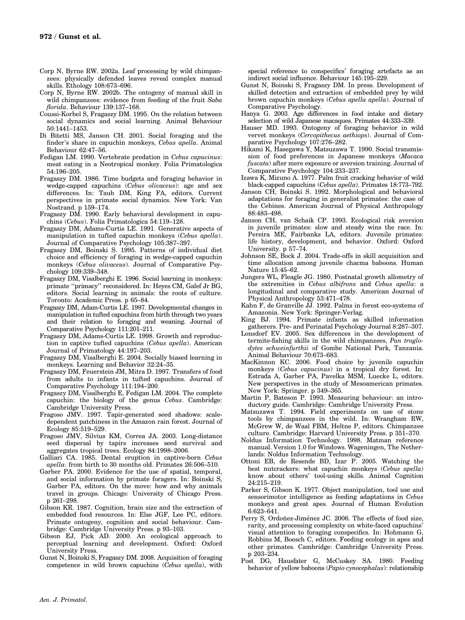- Corp N, Byrne RW. 2002a. Leaf processing by wild chimpanzees: physically defended leaves reveal complex manual skills. Ethology 108:673–696.
- Corp N, Byrne RW. 2002b. The ontogeny of manual skill in wild chimpanzees: evidence from feeding of the fruit Saba florida. Behaviour 139:137–168.
- Coussi-Korbel S, Fragaszy DM. 1995. On the relation between social dynamics and social learning. Animal Behaviour 50:1441–1453.
- Di Bitetti MS, Janson CH. 2001. Social foraging and the finder's share in capuchin monkeys, Cebus apella. Animal Behaviour 62:47–56.
- Fedigan LM. 1990. Vertebrate predation in Cebus capucinus: meat eating in a Neotropical monkey. Folia Primatologica 54:196–205.
- Fragaszy DM. 1986. Time budgets and foraging behavior in wedge-capped capuchins (Cebus olivaceus): age and sex differences. In: Taub DM, King FA, editors. Current perspectives in primate social dynamics. New York: Van Nostrand. p 159–174.
- Fragaszy DM. 1990. Early behavioral development in capuchins (Cebus). Folia Primatologica 54:119–128.
- Fragaszy DM, Adams-Curtis LE. 1991. Generative aspects of manipulation in tufted capuchin monkeys (Cebus apella). Journal of Comparative Psychology 105:387–397.
- Fragaszy DM, Boinski S. 1995. Patterns of individual diet choice and efficiency of foraging in wedge-capped capuchin monkeys (Cebus olivaceus). Journal of Comparative Psychology 109:339–348.
- Fragaszy DM, Visalberghi E. 1996. Social learning in monkeys: primate ''primacy'' reconsidered. In: Heyes CM, Galef Jr BG, editors. Social learning in animals: the roots of culture. Toronto: Academic Press. p 65–84.
- Fragaszy DM, Adam-Curtis LE. 1997. Developmental changes in manipulation in tufted capuchins from birth through two years and their relation to foraging and weaning. Journal of Comparative Psychology 111:201–211.
- Fragaszy DM, Adams-Curtis LE. 1998. Growth and reproduction in captive tufted capuchins (Cebus apella). American Journal of Primatology 44:197–203.
- Fragaszy DM, Visalberghi E. 2004. Socially biased learning in monkeys. Learning and Behavior 32:24–35.
- Fragaszy DM, Feuerstein JM, Mitra D. 1997. Transfers of food from adults to infants in tufted capuchins. Journal of Comparative Psychology 111:194–200.
- Fragaszy DM, Visalberghi E, Fedigan LM. 2004. The complete capuchin: the biology of the genus Cebus. Cambridge: Cambridge University Press.
- Fragoso JMV. 1997. Tapir-generated seed shadows: scaledependent patchiness in the Amazon rain forest. Journal of Ecology 85:519–529.
- Fragoso JMV, Silvius KM, Correa JA. 2003. Long-distance seed dispersal by tapirs increases seed survival and aggregates tropical trees. Ecology 84:1998–2006.
- Galliari CA. 1985. Dental eruption in captive-born Cebus apella: from birth to 30 months old. Primates 26:506–510.
- Garber PA. 2000. Evidence for the use of spatial, temporal, and social information by primate foragers. In: Boinski S, Garber PA, editors. On the move: how and why animals travel in groups. Chicago: University of Chicago Press. p 261–298.
- Gibson KR. 1987. Cognition, brain size and the extraction of embedded food resources. In: Else JGF, Lee PC, editors. Primate ontogeny, cognition and social behaviour. Cambridge: Cambridge University Press. p 93–103.
- Gibson EJ, Pick AD. 2000. An ecological approach to perceptual learning and development. Oxford: Oxford University Press.
- Gunst N, Boinski S, Fragaszy DM. 2008. Acquisition of foraging competence in wild brown capuchins (Cebus apella), with

special reference to conspecifics' foraging artefacts as an indirect social influence. Behaviour 145:195–229.

- Gunst N, Boinski S, Fragaszy DM. In press. Development of skilled detection and extraction of embedded prey by wild brown capuchin monkeys (Cebus apella apella). Journal of Comparative Psychology.
- Hanya G. 2003. Age differences in food intake and dietary selection of wild Japanese macaques. Primates 44:333–339.
- Hauser MD. 1993. Ontogeny of foraging behavior in wild vervet monkeys (Cercopithecus aethiops). Journal of Comparative Psychology 107:276–282.
- Hikami K, Hasegawa Y, Matsuzawa T. 1990. Social transmission of food preferences in Japanese monkeys (Macaca fuscata) after mere exposure or aversion training. Journal of Comparative Psychology 104:233–237.
- Izawa K, Mizuno A. 1977. Palm fruit cracking behavior of wild black-capped capuchins (Cebus apella). Primates 18:773–792.
- Janson CH, Boinski S. 1992. Morphological and behavioral adaptations for foraging in generalist primates: the case of the Cebines. American Journal of Physical Anthropology 88:483–498.
- Janson CH, van Schaik CP. 1993. Ecological risk aversion in juvenile primates: slow and steady wins the race. In: Pereira ME, Fairbanks LA, editors. Juvenile primates: life history, development, and behavior. Oxford: Oxford University. p 57–74.
- Johnson SE, Bock J. 2004. Trade-offs in skill acquisition and time allocation among juvenile chacma baboons. Human Nature 15:45–62.
- Jungers WL, Fleagle JG. 1980. Postnatal growth allometry of the extremities in Cebus albifrons and Cebus apella: a longitudinal and comparative study. American Journal of Physical Anthropology 53:471–478.
- Kahn F, de Granville JJ. 1992. Palms in forest eco-systems of Amazonia. New York: Springer-Verlag.
- King BJ. 1994. Primate infants as skilled information gatherers. Pre- and Perinatal Psychology Journal 8:287–307.
- Lonsdorf EV. 2005. Sex differences in the development of termite-fishing skills in the wild chimpanzees, Pan troglodytes schweinfurthii of Gombe National Park, Tanzania. Animal Behaviour 70:673–683.
- MacKinnon KC. 2006. Food choice by juvenile capuchin monkeys (Cebus capucinus) in a tropical dry forest. In: Estrada A, Garber PA, Pavelka MSM, Luecke L, editors. New perspectives in the study of Mesoamerican primates. New York: Springer. p 349–365.
- Martin P, Bateson P. 1993. Measuring behaviour: an introductory guide. Cambridge: Cambridge University Press.
- Matsuzawa T. 1994. Field experiments on use of stone tools by chimpanzees in the wild. In: Wrangham RW, McGrew W, de Waal FBM, Heltne P, editors. Chimpanzee culture. Cambridge: Harvard University Press. p 351–370.
- Noldus Information Technology. 1998. Matman reference manual. Version 1.0 for Windows. Wageningen, The Netherlands: Noldus Information Technology.
- Ottoni EB, de Resende BD, Izar P. 2005. Watching the best nutcrackers: what capuchin monkeys (Cebus apella) know about others' tool-using skills. Animal Cognition 24:215–219.
- Parker S, Gibson K. 1977. Object manipulation, tool use and sensorimotor intelligence as feeding adaptations in Cebus monkeys and great apes. Journal of Human Evolution 6:623–641.
- Perry S, Ordoñez-Jiménez JC. 2006. The effects of food size, rarity, and processing complexity on white-faced capuchins' visual attention to foraging conspecifics. In: Hohmann G, Robbins M, Boesch C, editors. Feeding ecology in apes and other primates. Cambridge: Cambridge University Press. p 203–234.
- Post DG, Hausfater G, McCuskey SA. 1980. Feeding behavior of yellow baboons (Papio cynocephalus): relationship